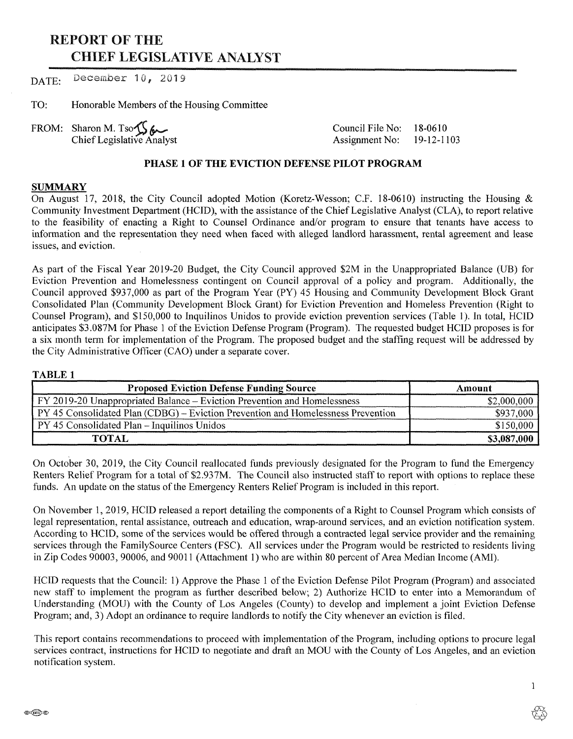# REPORT OF THE CHIEF LEGISLATIVE ANALYST

DATE: December 10, 2019

Honorable Members of the Housing Committee TO:

Sharon M. Tso $\mathcal{I}$ ChiefLegislative Analyst FROM:

Council File No: Assignment No: 18-0610 19-12-1103

#### **PHASE 1 OF THE EVICTION DEFENSE PILOT PROGRAM**

#### **SUMMARY**

On August 17, 2018, the City Council adopted Motion (Koretz-Wesson; C.F. 18-0610) instructing the Housing & Community Investment Department (HCID), with the assistance of the Chief Legislative Analyst (CLA), to report relative to the feasibility of enacting a Right to Counsel Ordinance and/or program to ensure that tenants have access to information and the representation they need when faced with alleged landlord harassment, rental agreement and lease issues, and eviction.

As part of the Fiscal Year 2019-20 Budget, the City Council approved \$2M in the Unappropriated Balance (UB) for Eviction Prevention and Homelessness contingent on Council approval of a policy and program. Additionally, the Council approved \$937,000 as part of the Program Year (PY) 45 Housing and Community Development Block Grant Consolidated Plan (Community Development Block Grant) for Eviction Prevention and Homeless Prevention (Right to Counsel Program), and \$150,000 to Inquilinos Unidos to provide eviction prevention services (Table 1). In total, HCID anticipates \$3.087M for Phase 1 of the Eviction Defense Program (Program). The requested budget HCID proposes is for a six month term for implementation of the Program. The proposed budget and the staffing request will be addressed by the City Administrative Officer (CAO) under a separate cover.

#### **TABLE 1**

| <b>Proposed Eviction Defense Funding Source</b>                                         | Amount      |
|-----------------------------------------------------------------------------------------|-------------|
| <b>FY 2019-20 Unappropriated Balance – Eviction Prevention and Homelessness</b>         | \$2,000,000 |
| <b>PY 45 Consolidated Plan (CDBG)</b> – Eviction Prevention and Homelessness Prevention | \$937,000   |
| <b>PY 45 Consolidated Plan – Inquilinos Unidos</b>                                      | \$150,000   |
| <b>TOTAL</b>                                                                            | \$3,087,000 |

On October 30, 2019, the City Council reallocated funds previously designated for the Program to fund the Emergency Renters Relief Program for a total of \$2.937M. The Council also instructed staff to report with options to replace these funds. An update on the status of the Emergency Renters Relief Program is included in this report.

On November 1, 2019, HCID released a report detailing the components of a Right to Counsel Program which consists of legal representation, rental assistance, outreach and education, wrap-around services, and an eviction notification system. According to HCID, some of the services would be offered through a contracted legal service provider and the remaining services through the FamilySource Centers (FSC). All services under the Program would be restricted to residents living in Zip Codes 90003, 90006, and 90011 (Attachment 1) who are within 80 percent of Area Median Income (AMI).

HCID requests that the Council: 1) Approve the Phase 1 of the Eviction Defense Pilot Program (Program) and associated new staff to implement the program as further described below; 2) Authorize HCID to enter into a Memorandum of Understanding (MOU) with the County of Los Angeles (County) to develop and implement a joint Eviction Defense Program; and, 3) Adopt an ordinance to require landlords to notify the City whenever an eviction is filed.

This report contains recommendations to proceed with implementation of the Program, including options to procure legal services contract, instructions for HCID to negotiate and draft an MOU with the County of Los Angeles, and an eviction notification system.

1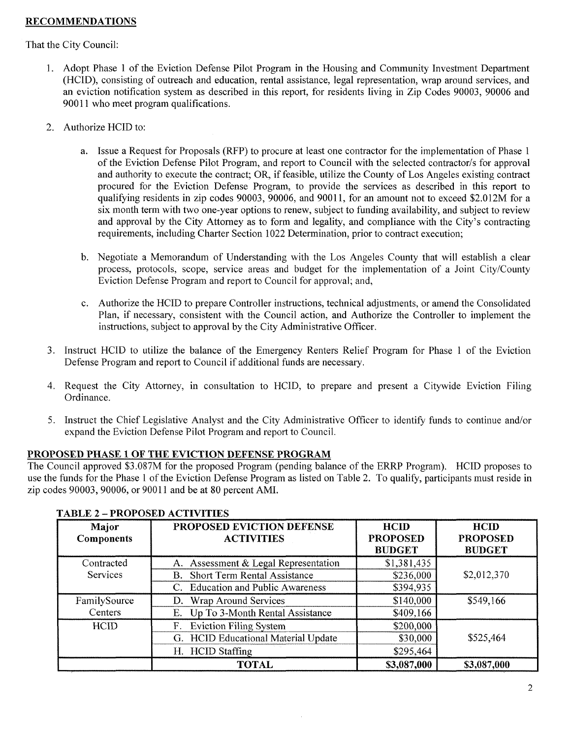## **RECOMMENDATIONS**

#### That the City Council:

- 1. Adopt Phase <sup>1</sup> of the Eviction Defense Pilot Program in the Housing and Community Investment Department (HCID), consisting of outreach and education, rental assistance, legal representation, wrap around services, and an eviction notification system as described in this report, for residents living in Zip Codes 90003, 90006 and 90011 who meet program qualifications.
- 2. Authorize HCID to:
	- a. Issue a Request for Proposals (RFP) to procure at least one contractor for the implementation of Phase 1 of the Eviction Defense Pilot Program, and report to Council with the selected contractor/s for approval and authority to execute the contract; OR, iffeasible, utilize the County of Los Angeles existing contract procured for the Eviction Defense Program, to provide the services as described in this report to qualifying residents in zip codes 90003, 90006, and 90011, for an amount not to exceed S2.012M for a six month term with two one-year options to renew, subject to funding availability, and subject to review and approval by the City Attorney as to form and legality, and compliance with the City's contracting requirements, including Charter Section 1022 Determination, prior to contract execution;
	- b. Negotiate a Memorandum of Understanding with the Los Angeles County that will establish a clear process, protocols, scope, service areas and budget for the implementation of a Joint City/County Eviction Defense Program and report to Council for approval; and,
	- c. Authorize the HCID to prepare Controller instructions, technical adjustments, or amend the Consolidated Plan, if necessary, consistent with the Council action, and Authorize the Controller to implement the instructions, subject to approval by the City Administrative Officer.
- 3. Instruct HCID to utilize the balance of the Emergency Renters Relief Program for Phase <sup>1</sup> of the Eviction Defense Program and report to Council if additional funds are necessary.
- 4. Request the City Attorney, in consultation to HCID, to prepare and present a Citywide Eviction Filing Ordinance.
- 5. Instruct the Chief Legislative Analyst and the City Administrative Officer to identify funds to continue and/or expand the Eviction Defense Pilot Program and report to Council.

# **PROPOSED PHASE 1 OF THE EVICTION DEFENSE PROGRAM**

The Council approved S3.087M for the proposed Program (pending balance of the ERRP Program). HCID proposes to use the funds for the Phase 1 of the Eviction Defense Program as listed on Table 2. To qualify, participants must reside in zip codes 90003, 90006, or 90011 and be at 80 percent AMI.

| Major<br><b>Components</b> | PROPOSED EVICTION DEFENSE<br><b>ACTIVITIES</b> | <b>HCID</b><br><b>PROPOSED</b><br><b>BUDGET</b> | <b>HCID</b><br><b>PROPOSED</b><br><b>BUDGET</b> |
|----------------------------|------------------------------------------------|-------------------------------------------------|-------------------------------------------------|
| Contracted                 | A. Assessment & Legal Representation           | \$1,381,435                                     |                                                 |
| Services                   | Short Term Rental Assistance<br>B.             | \$236,000                                       | \$2,012,370                                     |
|                            | <b>Education and Public Awareness</b><br>C.    | \$394,935                                       |                                                 |
| FamilySource               | D. Wrap Around Services                        | \$140,000                                       | \$549,166                                       |
| Centers                    | Up To 3-Month Rental Assistance<br>Е.          | \$409,166                                       |                                                 |
| <b>HCID</b>                | <b>Eviction Filing System</b><br>F.            | \$200,000                                       |                                                 |
|                            | G. HCID Educational Material Update            | \$30,000                                        | \$525,464                                       |
|                            | H. HCID Staffing                               | \$295,464                                       |                                                 |
|                            | <b>TOTAL</b>                                   | \$3,087,000                                     | \$3,087,000                                     |

#### **TABLE <sup>2</sup> - PROPOSED ACTIVITIES**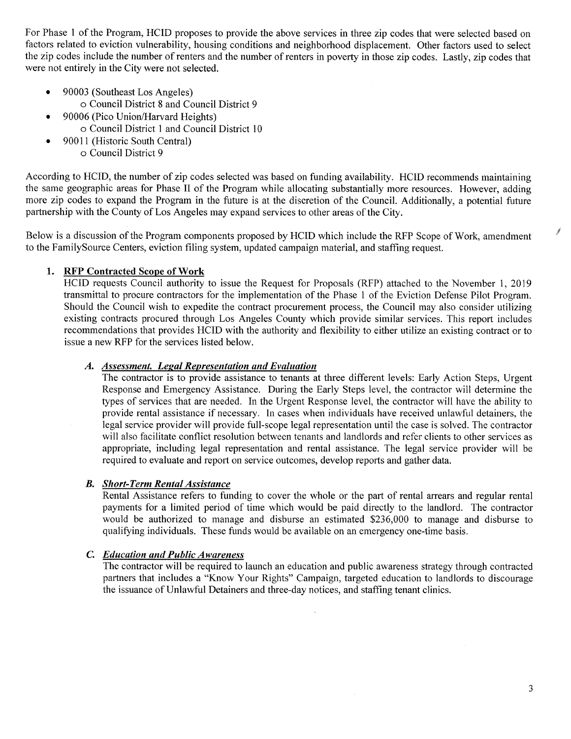For Phase 1 of the Program, HCID proposes to provide the above services in three zip codes that were selected based on factors related to eviction vulnerability, housing conditions and neighborhood displacement. Other factors used to select the zip codes include the number of renters and the number of renters in poverty in those zip codes. Lastly, zip codes that were not entirely in the City were not selected.

- 90003 (Southeast Los Angeles) o Council District <sup>8</sup> and Council District 9
- 90006 (Pico Union/Harvard Heights)
	- o Council District <sup>1</sup> and Council District 10
	- 90011 (Historic South Central)
		- o Council District 9

According to HCID, the number of zip codes selected was based on funding availability. HCID recommends maintaining the same geographic areas for Phase II of the Program while allocating substantially more resources. However, adding more zip codes to expand the Program in the future is at the discretion of the Council. Additionally, a potential future partnership with the County of Los Angeles may expand services to other areas of the City.

Below is a discussion of the Program components proposed by HCID which include the RFP Scope of Work, amendment to the FamilySource Centers, eviction filing system, updated campaign material, and staffing request.

# **1. RFP Contracted Scope ofWork**

HCID requests Council authority to issue the Request for Proposals (RFP) attached to the November 1, 2019 transmittal to procure contractors for the implementation ofthe Phase <sup>1</sup> of the Eviction Defense Pilot Program. Should the Council wish to expedite the contract procurement process, the Council may also consider utilizing existing contracts procured through Los Angeles County which provide similar services. This report includes recommendations that provides HCID with the authority and flexibility to either utilize an existing contract or to issue a new RFP for the services listed below.

#### *A. Assessment. LegalRepresentation andEvaluation*

The contractor is to provide assistance to tenants at three different levels: Early Action Steps, Urgent Response and Emergency Assistance. During the Early Steps level, the contractor will determine the types of services that are needed. In the Urgent Response level, the contractor will have the ability to provide rental assistance if necessary. In cases when individuals have received unlawful detainers, the legal service provider will provide full-scope legal representation until the case is solved. The contractor will also facilitate conflict resolution between tenants and landlords and refer clients to other services as appropriate, including legal representation and rental assistance. The legal service provider will be required to evaluate and report on service outcomes, develop reports and gather data.

#### *Short-Term RentalAssistance B.*

Rental Assistance refers to funding to cover the whole or the part of rental arrears and regular rental payments for a limited period of time which would be paid directly to the landlord. The contractor would be authorized to manage and disburse an estimated \$236,000 to manage and disburse to qualifying individuals. These funds would be available on an emergency one-time basis.

# *C. Education andPublicAwareness*

The contractor will be required to launch an education and public awareness strategy through contracted partners that includes a "Know Your Rights" Campaign, targeted education to landlords to discourage the issuance of Unlawful Detainers and three-day notices, and staffing tenant clinics.

j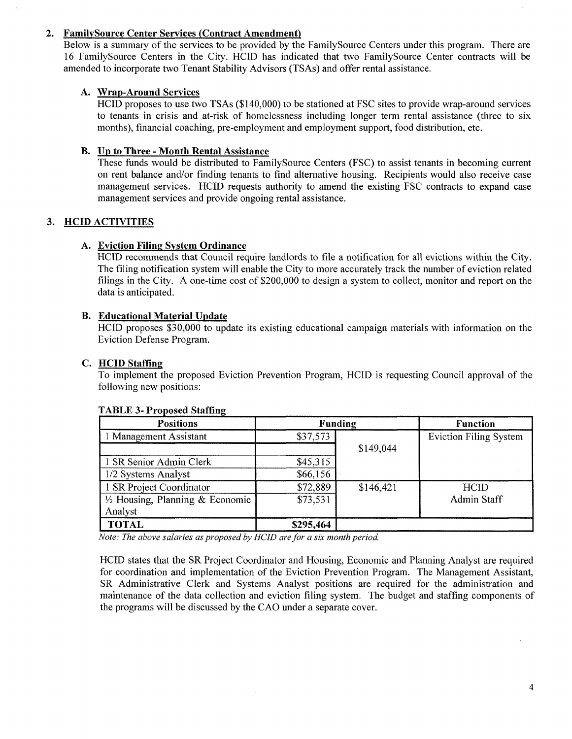## **2. FamilySource Center Services (Contract Amendment)**

Below is a summary of the services to be provided by the FamilySource Centers under this program. There are 16 FamilySource Centers in the City. HCID has indicated that two FamilySource Center contracts will be amended to incorporate two Tenant Stability Advisors (TSAs) and offer rental assistance.

## **A. Wrap-Around Services**

HCID proposes to use two TSAs (\$140,000) to be stationed at FSC sites to provide wrap-around services to tenants in crisis and at-risk of homelessness including longer term rental assistance (three to six months), financial coaching, pre-employment and employment support, food distribution, etc.

### **B. Up to Three - Month Rental Assistance**

These funds would be distributed to FamilySource Centers (FSC) to assist tenants in becoming current on rent balance and/or finding tenants to find alternative housing. Recipients would also receive case management services. HCID requests authority to amend the existing FSC contracts to expand case management services and provide ongoing rental assistance.

# **3. HCID ACTIVITIES**

#### **A. Eviction Filing System Ordinance**

HCID recommends that Council require landlords to file a notification for all evictions within the City. The filing notification system will enable the City to more accurately track the number of eviction related filings in the City. A one-time cost of \$200,000 to design a system to collect, monitor and report on the data is anticipated.

#### **B. Educational Material Update**

HCID proposes \$30,000 to update its existing educational campaign materials with information on the Eviction Defense Program.

## **C. HCID Staffing**

To implement the proposed Eviction Prevention Program, HCID is requesting Council approval of the following new positions:

| <b>Positions</b>                           | <b>Funding</b> |           | <b>Function</b>               |  |
|--------------------------------------------|----------------|-----------|-------------------------------|--|
| <b>Management Assistant</b>                | \$37,573       |           | <b>Eviction Filing System</b> |  |
|                                            |                | \$149,044 |                               |  |
| 1 SR Senior Admin Clerk                    | \$45,315       |           |                               |  |
| 1/2 Systems Analyst                        | \$66,156       |           |                               |  |
| 1 SR Project Coordinator                   | \$72,889       | \$146,421 | <b>HCID</b>                   |  |
| $\frac{1}{2}$ Housing, Planning & Economic | \$73,531       |           | Admin Staff                   |  |
| Analyst                                    |                |           |                               |  |
| <b>TOTAL</b>                               | \$295,464      |           |                               |  |

#### **TABLE 3- Proposed Staffing**

*Note: The above salaries as proposed by HCID arefor a six month period.*

HCID states that the SR Project Coordinator and Housing, Economic and Planning Analyst are required for coordination and implementation of the Eviction Prevention Program. The Management Assistant, SR Administrative Clerk and Systems Analyst positions are required for the administration and maintenance of the data collection and eviction filing system. The budget and staffing components of the programs will be discussed by the CAO under a separate cover.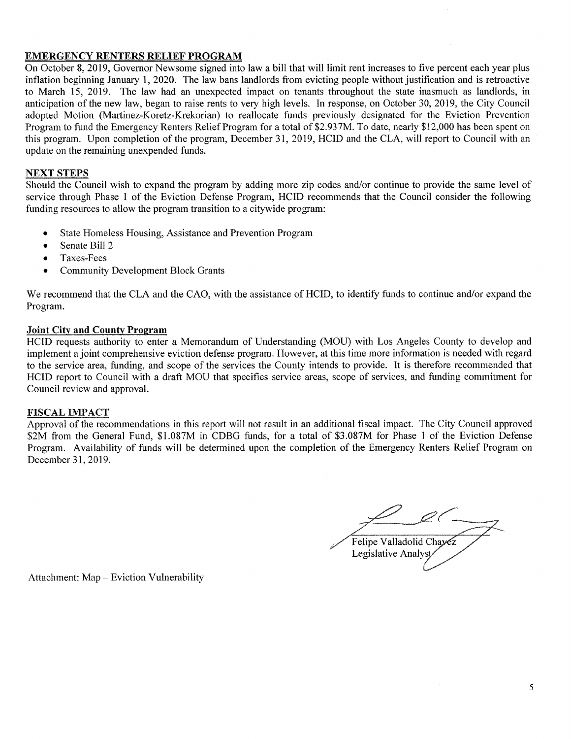## **EMERGENCY RENTERS RELIEF PROGRAM**

On October 8, 2019, Governor Newsome signed into law a bill that will limit rent increases to five percent each year plus inflation beginning January 1, 2020. The law bans landlords from evicting people without justification and is retroactive to March 15, 2019. The law had an unexpected impact on tenants throughout the state inasmuch as landlords, in anticipation of the new law, began to raise rents to very high levels. In response, on October 30, 2019, the City Council adopted Motion (Martinez-Koretz-Krekorian) to reallocate funds previously designated for the Eviction Prevention Program to fund the Emergency Renters Relief Program for a total of \$2.937M. To date, nearly \$12,000 has been spent on this program. Upon completion of the program, December 31, 2019, HCID and the CLA, will report to Council with an update on the remaining unexpended funds.

#### **NEXT STEPS**

Should the Council wish to expand the program by adding more zip codes and/or continue to provide the same level of service through Phase <sup>1</sup> of the Eviction Defense Program, HCID recommends that the Council consider the following funding resources to allow the program transition to a citywide program:

- State Homeless Housing, Assistance and Prevention Program
- Senate Bill 2
- Taxes-Fees
- Community Development Block Grants

We recommend that the CLA and the CAO, with the assistance of HCID, to identify funds to continue and/or expand the Program.

#### **Joint City and County Program**

HCID requests authority to enter a Memorandum of Understanding (MOU) with Los Angeles County to develop and implement a joint comprehensive eviction defense program. However, at this time more information is needed with regard to the service area, funding, and scope of the services the County intends to provide. It is therefore recommended that HCID report to Council with a draft MOU that specifies service areas, scope of services, and funding commitment for Council review and approval.

#### **FISCAL IMPACT**

Approval of the recommendations in this report will not result in an additional fiscal impact. The City Council approved \$2M from the General Fund, \$1.087M in CDBG funds, for a total of \$3.087M for Phase 1 of the Eviction Defense Program. Availability of funds will be determined upon the completion of the Emergency Renters Relief Program on December 31, 2019.

Felipe Valladolid Chayez ///<br>Felipe Valladolid Chavez<br>Legislative Analys

Attachment: Map - Eviction Vulnerability